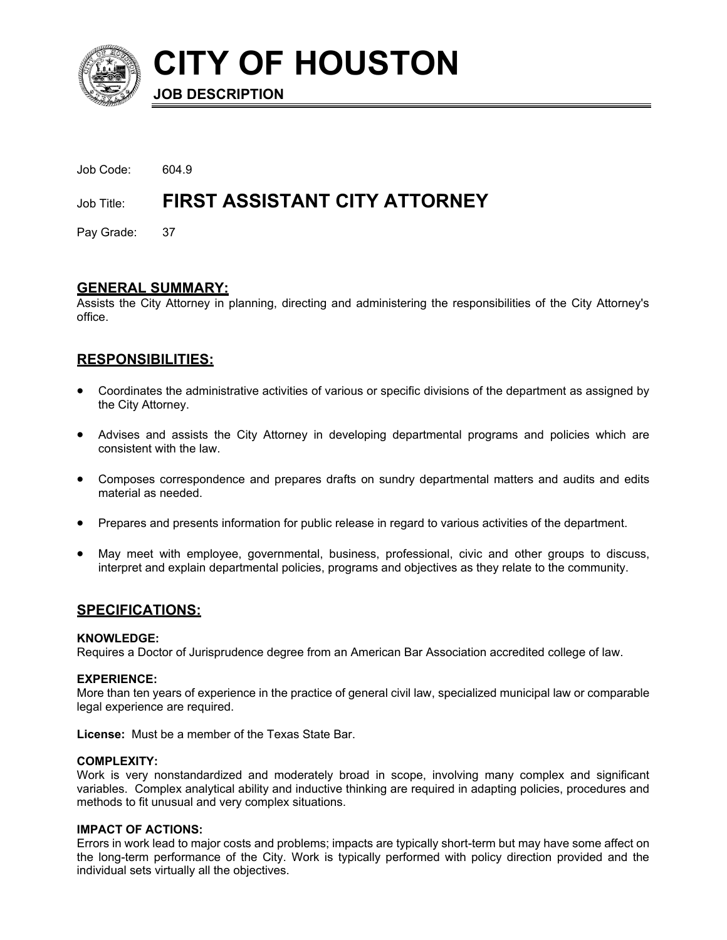

**CITY OF HOUSTON** 

**JOB DESCRIPTION**

| Job Code: 604.9 |                                          |
|-----------------|------------------------------------------|
|                 | Job Title: FIRST ASSISTANT CITY ATTORNEY |
| Pay Grade: 37   |                                          |

# **GENERAL SUMMARY:**

Assists the City Attorney in planning, directing and administering the responsibilities of the City Attorney's office.

# **RESPONSIBILITIES:**

- Coordinates the administrative activities of various or specific divisions of the department as assigned by the City Attorney.
- Advises and assists the City Attorney in developing departmental programs and policies which are consistent with the law.
- Composes correspondence and prepares drafts on sundry departmental matters and audits and edits material as needed.
- Prepares and presents information for public release in regard to various activities of the department.
- May meet with employee, governmental, business, professional, civic and other groups to discuss, interpret and explain departmental policies, programs and objectives as they relate to the community.

# **SPECIFICATIONS:**

## **KNOWLEDGE:**

Requires a Doctor of Jurisprudence degree from an American Bar Association accredited college of law.

## **EXPERIENCE:**

More than ten years of experience in the practice of general civil law, specialized municipal law or comparable legal experience are required.

**License:** Must be a member of the Texas State Bar.

## **COMPLEXITY:**

Work is very nonstandardized and moderately broad in scope, involving many complex and significant variables. Complex analytical ability and inductive thinking are required in adapting policies, procedures and methods to fit unusual and very complex situations.

## **IMPACT OF ACTIONS:**

Errors in work lead to major costs and problems; impacts are typically short-term but may have some affect on the long-term performance of the City. Work is typically performed with policy direction provided and the individual sets virtually all the objectives.